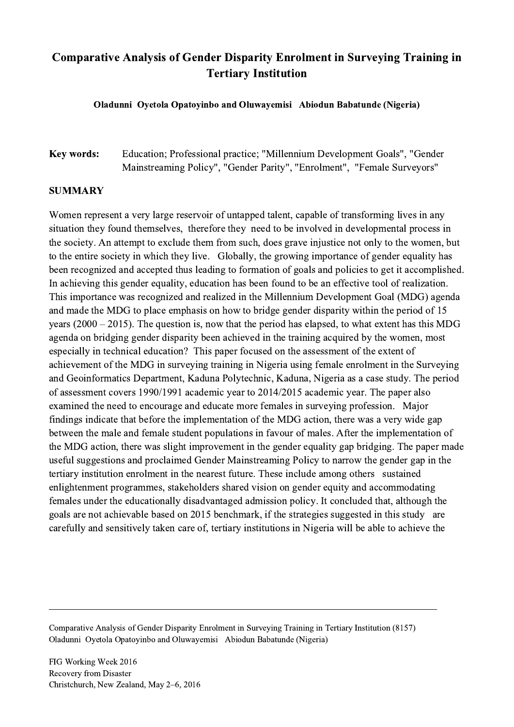## Comparative Analysis of Gender Disparity Enrolment in Surveying Training in Tertiary Institution

Oladunni Oyetola Opatoyinbo and Oluwayemisi Abiodun Babatunde (Nigeria)

Key words: Education; Professional practice; "Millennium Development Goals", "Gender Mainstreaming Policy", "Gender Parity", "Enrolment", "Female Surveyors"

## SUMMARY

Women represent a very large reservoir of untapped talent, capable of transforming lives in any situation they found themselves, therefore they need to be involved in developmental process in the society. An attempt to exclude them from such, does grave injustice not only to the women, but to the entire society in which they live. Globally, the growing importance of gender equality has been recognized and accepted thus leading to formation of goals and policies to get it accomplished. In achieving this gender equality, education has been found to be an effective tool of realization. This importance was recognized and realized in the Millennium Development Goal (MDG) agenda and made the MDG to place emphasis on how to bridge gender disparity within the period of 15 years (2000 – 2015). The question is, now that the period has elapsed, to what extent has this MDG agenda on bridging gender disparity been achieved in the training acquired by the women, most especially in technical education? This paper focused on the assessment of the extent of achievement of the MDG in surveying training in Nigeria using female enrolment in the Surveying and Geoinformatics Department, Kaduna Polytechnic, Kaduna, Nigeria as a case study. The period of assessment covers 1990/1991 academic year to 2014/2015 academic year. The paper also examined the need to encourage and educate more females in surveying profession. Major findings indicate that before the implementation of the MDG action, there was a very wide gap between the male and female student populations in favour of males. After the implementation of the MDG action, there was slight improvement in the gender equality gap bridging. The paper made useful suggestions and proclaimed Gender Mainstreaming Policy to narrow the gender gap in the tertiary institution enrolment in the nearest future. These include among others sustained enlightenment programmes, stakeholders shared vision on gender equity and accommodating females under the educationally disadvantaged admission policy. It concluded that, although the goals are not achievable based on 2015 benchmark, if the strategies suggested in this study are carefully and sensitively taken care of, tertiary institutions in Nigeria will be able to achieve the

Comparative Analysis of Gender Disparity Enrolment in Surveying Training in Tertiary Institution (8157) Oladunni Oyetola Opatoyinbo and Oluwayemisi Abiodun Babatunde (Nigeria)

 $\mathcal{L}_\mathcal{L} = \{ \mathcal{L}_\mathcal{L} = \{ \mathcal{L}_\mathcal{L} = \{ \mathcal{L}_\mathcal{L} = \{ \mathcal{L}_\mathcal{L} = \{ \mathcal{L}_\mathcal{L} = \{ \mathcal{L}_\mathcal{L} = \{ \mathcal{L}_\mathcal{L} = \{ \mathcal{L}_\mathcal{L} = \{ \mathcal{L}_\mathcal{L} = \{ \mathcal{L}_\mathcal{L} = \{ \mathcal{L}_\mathcal{L} = \{ \mathcal{L}_\mathcal{L} = \{ \mathcal{L}_\mathcal{L} = \{ \mathcal{L}_\mathcal{$ 

FIG Working Week 2016 Recovery from Disaster Christchurch, New Zealand, May 2–6, 2016